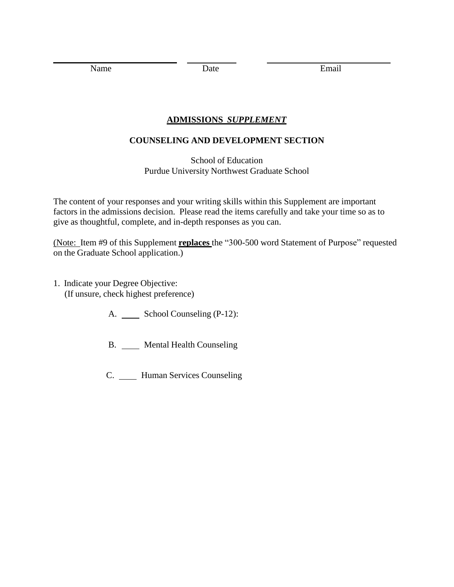Name Date Date Email

## **ADMISSIONS** *SUPPLEMENT*

## **COUNSELING AND DEVELOPMENT SECTION**

School of Education Purdue University Northwest Graduate School

The content of your responses and your writing skills within this Supplement are important factors in the admissions decision. Please read the items carefully and take your time so as to give as thoughtful, complete, and in-depth responses as you can.

(Note: Item #9 of this Supplement **replaces** the "300-500 word Statement of Purpose" requested on the Graduate School application.)

- 1. Indicate your Degree Objective: (If unsure, check highest preference)
	- A. \_\_\_\_\_ School Counseling (P-12):
	- B. Mental Health Counseling
	- C. Human Services Counseling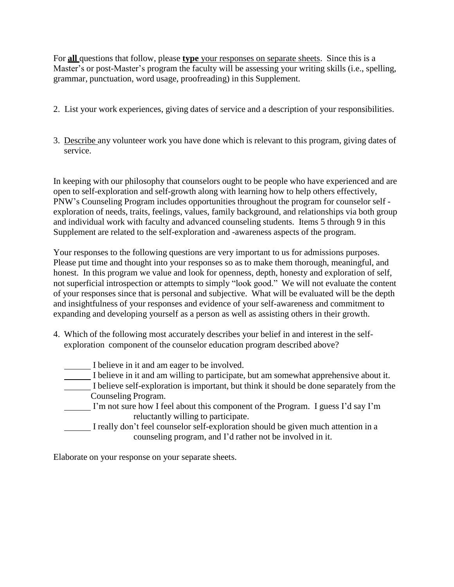For **all** questions that follow, please **type** your responses on separate sheets. Since this is a Master's or post-Master's program the faculty will be assessing your writing skills (i.e., spelling, grammar, punctuation, word usage, proofreading) in this Supplement.

- 2. List your work experiences, giving dates of service and a description of your responsibilities.
- 3. Describe any volunteer work you have done which is relevant to this program, giving dates of service.

In keeping with our philosophy that counselors ought to be people who have experienced and are open to self-exploration and self-growth along with learning how to help others effectively, PNW's Counseling Program includes opportunities throughout the program for counselor self exploration of needs, traits, feelings, values, family background, and relationships via both group and individual work with faculty and advanced counseling students. Items 5 through 9 in this Supplement are related to the self-exploration and -awareness aspects of the program.

Your responses to the following questions are very important to us for admissions purposes. Please put time and thought into your responses so as to make them thorough, meaningful, and honest. In this program we value and look for openness, depth, honesty and exploration of self, not superficial introspection or attempts to simply "look good." We will not evaluate the content of your responses since that is personal and subjective. What will be evaluated will be the depth and insightfulness of your responses and evidence of your self-awareness and commitment to expanding and developing yourself as a person as well as assisting others in their growth.

- 4. Which of the following most accurately describes your belief in and interest in the selfexploration component of the counselor education program described above?
	- I believe in it and am eager to be involved. I believe in it and am willing to participate, but am somewhat apprehensive about it. I believe self-exploration is important, but think it should be done separately from the Counseling Program. I'm not sure how I feel about this component of the Program. I guess I'd say I'm reluctantly willing to participate. I really don't feel counselor self-exploration should be given much attention in a counseling program, and I'd rather not be involved in it.

Elaborate on your response on your separate sheets.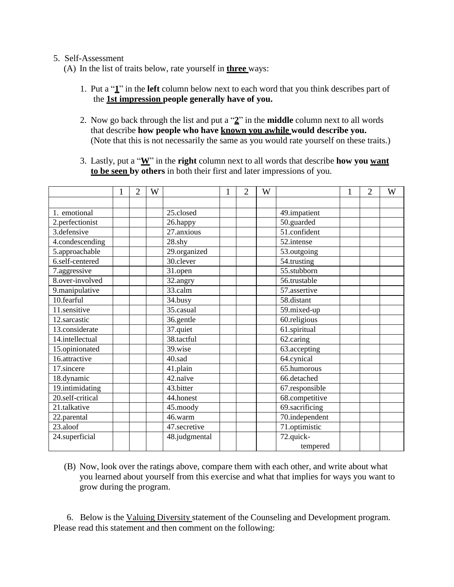## 5. Self-Assessment

(A) In the list of traits below, rate yourself in **three** ways:

- 1. Put a "**1**" in the **left** column below next to each word that you think describes part of the **1st impression people generally have of you.**
- 2. Now go back through the list and put a "**2**" in the **middle** column next to all words that describe **how people who have known you awhile would describe you.** (Note that this is not necessarily the same as you would rate yourself on these traits.)
- 3. Lastly, put a "**W**" in the **right** column next to all words that describe **how you want to be seen by others** in both their first and later impressions of you.

|                  | $\overline{2}$ | W |               | $\overline{2}$ | W |                | $\overline{2}$ | W |
|------------------|----------------|---|---------------|----------------|---|----------------|----------------|---|
|                  |                |   |               |                |   |                |                |   |
| 1. emotional     |                |   | 25.closed     |                |   | 49.impatient   |                |   |
| 2.perfectionist  |                |   | 26.happy      |                |   | 50.guarded     |                |   |
| 3.defensive      |                |   | 27.anxious    |                |   | 51.confident   |                |   |
| 4.condescending  |                |   | 28.shy        |                |   | 52.intense     |                |   |
| 5.approachable   |                |   | 29.organized  |                |   | 53.outgoing    |                |   |
| 6.self-centered  |                |   | 30.clever     |                |   | 54.trusting    |                |   |
| 7.aggressive     |                |   | 31.open       |                |   | 55.stubborn    |                |   |
| 8.over-involved  |                |   | 32.angry      |                |   | 56.trustable   |                |   |
| 9.manipulative   |                |   | 33.calm       |                |   | 57.assertive   |                |   |
| 10.fearful       |                |   | 34.busy       |                |   | 58.distant     |                |   |
| 11.sensitive     |                |   | 35.casual     |                |   | 59.mixed-up    |                |   |
| 12.sarcastic     |                |   | 36.gentle     |                |   | 60.religious   |                |   |
| 13.considerate   |                |   | 37.quiet      |                |   | 61.spiritual   |                |   |
| 14.intellectual  |                |   | 38.tactful    |                |   | 62.caring      |                |   |
| 15.opinionated   |                |   | 39.wise       |                |   | 63.accepting   |                |   |
| 16.attractive    |                |   | 40.sad        |                |   | 64.cynical     |                |   |
| 17.sincere       |                |   | 41.plain      |                |   | 65.humorous    |                |   |
| 18.dynamic       |                |   | 42.naïve      |                |   | 66.detached    |                |   |
| 19.intimidating  |                |   | 43.bitter     |                |   | 67.responsible |                |   |
| 20.self-critical |                |   | 44.honest     |                |   | 68.competitive |                |   |
| 21.talkative     |                |   | 45.moody      |                |   | 69.sacrificing |                |   |
| 22.parental      |                |   | 46.warm       |                |   | 70.independent |                |   |
| 23.aloof         |                |   | 47.secretive  |                |   | 71.optimistic  |                |   |
| 24.superficial   |                |   | 48.judgmental |                |   | 72.quick-      |                |   |
|                  |                |   |               |                |   | tempered       |                |   |

(B) Now, look over the ratings above, compare them with each other, and write about what you learned about yourself from this exercise and what that implies for ways you want to grow during the program.

6. Below is the Valuing Diversity statement of the Counseling and Development program. Please read this statement and then comment on the following: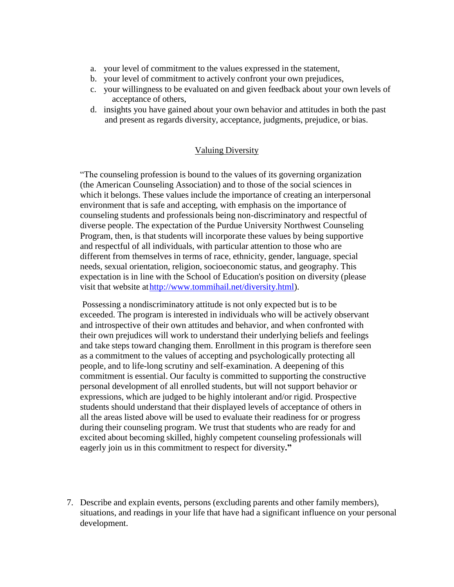- a. your level of commitment to the values expressed in the statement,
- b. your level of commitment to actively confront your own prejudices,
- c. your willingness to be evaluated on and given feedback about your own levels of acceptance of others,
- d. insights you have gained about your own behavior and attitudes in both the past and present as regards diversity, acceptance, judgments, prejudice, or bias.

## Valuing Diversity

"The counseling profession is bound to the values of its governing organization (the American Counseling Association) and to those of the social sciences in which it belongs. These values include the importance of creating an interpersonal environment that is safe and accepting, with emphasis on the importance of counseling students and professionals being non-discriminatory and respectful of diverse people. The expectation of the Purdue University Northwest Counseling Program, then, is that students will incorporate these values by being supportive and respectful of all individuals, with particular attention to those who are different from themselves in terms of race, ethnicity, gender, language, special needs, sexual orientation, religion, socioeconomic status, and geography. This expectation is in line with the School of Education's position on diversity (please visit that website a[thttp://www.tommihail.net/diversity.html\).](http://www.tommihail.net/diversity.html))

Possessing a nondiscriminatory attitude is not only expected but is to be exceeded. The program is interested in individuals who will be actively observant and introspective of their own attitudes and behavior, and when confronted with their own prejudices will work to understand their underlying beliefs and feelings and take steps toward changing them. Enrollment in this program is therefore seen as a commitment to the values of accepting and psychologically protecting all people, and to life-long scrutiny and self-examination. A deepening of this commitment is essential. Our faculty is committed to supporting the constructive personal development of all enrolled students, but will not support behavior or expressions, which are judged to be highly intolerant and/or rigid. Prospective students should understand that their displayed levels of acceptance of others in all the areas listed above will be used to evaluate their readiness for or progress during their counseling program. We trust that students who are ready for and excited about becoming skilled, highly competent counseling professionals will eagerly join us in this commitment to respect for diversity**."**

7. Describe and explain events, persons (excluding parents and other family members), situations, and readings in your life that have had a significant influence on your personal development.